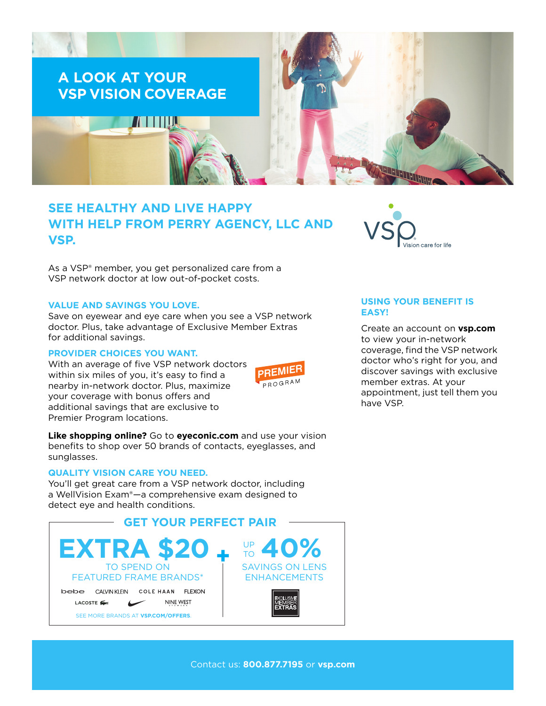

# **SEE HEALTHY AND LIVE HAPPY WITH HELP FROM PERRY AGENCY, LLC AND VSP.**

As a VSP® member, you get personalized care from a VSP network doctor at low out-of-pocket costs.

#### **VALUE AND SAVINGS YOU LOVE.**

Save on eyewear and eye care when you see a VSP network doctor. Plus, take advantage of Exclusive Member Extras for additional savings.

#### **PROVIDER CHOICES YOU WANT.**

With an average of five VSP network doctors within six miles of you, it's easy to find a nearby in-network doctor. Plus, maximize your coverage with bonus offers and additional savings that are exclusive to Premier Program locations.



**Like shopping online?** Go to **[eyeconic.com](https://www.eyeconic.com)** and use your vision benefits to shop over 50 brands of contacts, eyeglasses, and sunglasses.

## **QUALITY VISION CARE YOU NEED.**

You'll get great care from a VSP network doctor, including a WellVision Exam®—a comprehensive exam designed to detect eye and health conditions.





#### **USING YOUR BENEFIT IS EASY!**

Create an account on **[vsp.com](http://www.vsp.com)** to view your in-network coverage, find the VSP network doctor who's right for you, and discover savings with exclusive member extras. At your appointment, just tell them you have VSP.